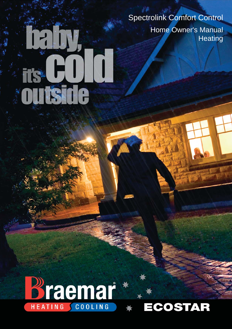Spectrolink Comfort Control Home Owner's Manual **Heating** 

# **Braemar**

 $\hat{q}_{\rm eff}$ 

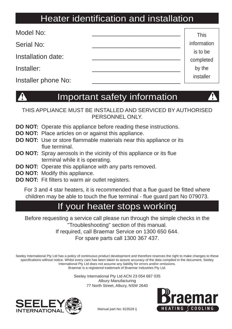## Heater identification and installation

| Model No:           | <b>This</b>           |
|---------------------|-----------------------|
| <b>Serial No:</b>   | information           |
| Installation date:  | is to be<br>completed |
| Installer:          | by the                |
| Installer phone No: | installer             |

## Important safety information

THIS APPLIANCE MUST BE INSTALLED AND SERVICED BY AUTHORISED PERSONNEL ONLY.

- **DO NOT:** Operate this appliance before reading these instructions.
- **DO NOT:** Place articles on or against this appliance.
- **DO NOT:** Use or store flammable materials near this appliance or its flue terminal.
- **DO NOT:** Spray aerosols in the vicinity of this appliance or its flue terminal while it is operating.
- **DO NOT:** Operate this appliance with any parts removed.
- **DO NOT:** Modify this appliance.
- **DO NOT:** Fit filters to warm air outlet registers.

For 3 and 4 star heaters, it is recommended that a flue guard be fitted where children may be able to touch the flue terminal - flue guard part No 079073.

#### If your heater stops working

Before requesting a service call please run through the simple checks in the "Troubleshooting" section of this manual. If required, call Braemar Service on 1300 650 644. For spare parts call 1300 367 437.

Seeley International Pty Ltd has a policy of continuous product development and therefore reserves the right to make changes to these specifications without notice. Whilst every care has been taken to assure accuracy of the data compiled in the document, Seeley International Pty Ltd does not assume any liability for errors and/or omissions. Braemar is a registered trademark of Braemar Industries Pty Ltd.

> Seeley International Pty Ltd ACN 23 054 687 035 Albury Manufacturing 77 North Street, Albury, NSW 2640





Manual part No: 623528 /j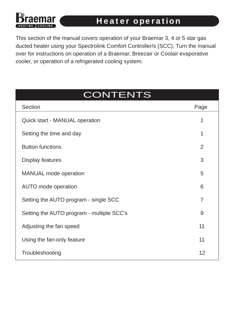#### **Heater operation**

This section of the manual covers operation of your Braemar 3, 4 or 5 star gas ducted heater using your Spectrolink Comfort Controller/s (SCC). Turn the manual over for instructions on operation of a Braemar, Breezair or Coolair evaporative cooler, or operation of a refrigerated cooling system.

## **CONTENTS**

| Section                                   | Page           |
|-------------------------------------------|----------------|
| <b>Quick start - MANUAL operation</b>     | 1              |
| Setting the time and day                  | 1              |
| <b>Button functions</b>                   | $\overline{2}$ |
| <b>Display features</b>                   | 3              |
| <b>MANUAL</b> mode operation              | 5              |
| <b>AUTO</b> mode operation                | 6              |
| Setting the AUTO program - single SCC     | $\overline{7}$ |
| Setting the AUTO program - multiple SCC's | 9              |
| Adjusting the fan speed                   | 11             |
| Using the fan-only feature                | 11             |
| Troubleshooting                           | 12             |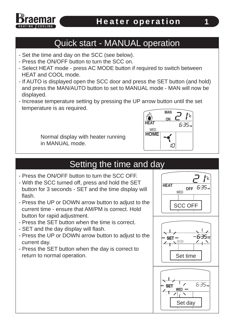

#### Quick start - MANUAL operation

- Set the time and day on the SCC (see below).
- Press the ON/OFF button to turn the SCC on.
- Select HEAT mode press AC MODE button if required to switch between HEAT and COOL mode.
- If AUTO is displayed open the SCC door and press the SET button (and hold) and press the MAN/AUTO button to set to MANUAL mode - MAN will now be displayed.
- Increase temperature setting by pressing the UP arrow button until the set temperature is as required.

Normal display with heater running in MANUAL mode.



#### Setting the time and day

- Press the ON/OFF button to turn the SCC OFF.
- With the SCC turned off, press and hold the SET button for 3 seconds - SET and the time display will flash.
- Press the UP or DOWN arrow button to adjust to the current time - ensure that AM/PM is correct. Hold button for rapid adjustment.
- Press the SET button when the time is correct.
- SET and the day display will flash.
- Press the UP or DOWN arrow button to adjust to the current day.
- Press the SET button when the day is correct to return to normal operation.

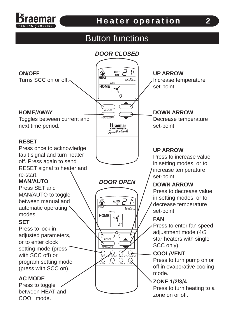

#### Heater operation

#### Button functions

#### *DOOR CLOSED*

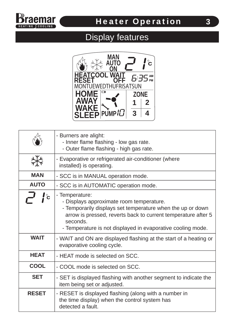

# Display features



|              | - Burners are alight:<br>- Inner flame flashing - low gas rate.<br>- Outer flame flashing - high gas rate.                                                                                                                                                           |
|--------------|----------------------------------------------------------------------------------------------------------------------------------------------------------------------------------------------------------------------------------------------------------------------|
|              | - Evaporative or refrigerated air-conditioner (where<br>installed) is operating.                                                                                                                                                                                     |
| <b>MAN</b>   | - SCC is in MANUAL operation mode.                                                                                                                                                                                                                                   |
| <b>AUTO</b>  | - SCC is in AUTOMATIC operation mode.                                                                                                                                                                                                                                |
|              | - Temperature:<br>- Displays approximate room temperature.<br>- Temporarily displays set temperature when the up or down<br>arrow is pressed, reverts back to current temperature after 5<br>seconds.<br>- Temperature is not displayed in evaporative cooling mode. |
| <b>WAIT</b>  | - WAIT and ON are displayed flashing at the start of a heating or<br>evaporative cooling cycle.                                                                                                                                                                      |
| <b>HEAT</b>  | - HEAT mode is selected on SCC.                                                                                                                                                                                                                                      |
| <b>COOL</b>  | - COOL mode is selected on SCC.                                                                                                                                                                                                                                      |
| <b>SET</b>   | - SET is displayed flashing with another segment to indicate the<br>item being set or adjusted.                                                                                                                                                                      |
| <b>RESET</b> | - RESET is displayed flashing (along with a number in<br>the time display) when the control system has<br>detected a fault.                                                                                                                                          |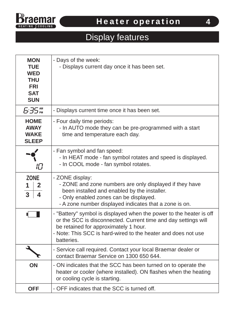

# Display features

| <b>MON</b><br><b>TUE</b><br><b>WED</b><br><b>THU</b><br><b>FRI</b><br><b>SAT</b><br><b>SUN</b> | - Days of the week:<br>- Displays current day once it has been set.                                                                                                                                                                                           |
|------------------------------------------------------------------------------------------------|---------------------------------------------------------------------------------------------------------------------------------------------------------------------------------------------------------------------------------------------------------------|
| 5.35 <sub>em</sub>                                                                             | - Displays current time once it has been set.                                                                                                                                                                                                                 |
| <b>HOME</b><br><b>AWAY</b><br><b>WAKE</b><br><b>SLEEP</b>                                      | - Four daily time periods:<br>- In AUTO mode they can be pre-programmed with a start<br>time and temperature each day.                                                                                                                                        |
| 旧                                                                                              | - Fan symbol and fan speed:<br>- In HEAT mode - fan symbol rotates and speed is displayed.<br>- In COOL mode - fan symbol rotates.                                                                                                                            |
| <b>ZONE</b><br>$\mathbf{2}$<br>$\mathbf 1$<br>$\overline{3}$<br>$\overline{\mathbf{4}}$        | - ZONE display:<br>- ZONE and zone numbers are only displayed if they have<br>been installed and enabled by the installer.<br>- Only enabled zones can be displayed.<br>- A zone number displayed indicates that a zone is on.                                |
|                                                                                                | - "Battery" symbol is displayed when the power to the heater is off<br>or the SCC is disconnected. Current time and day settings will<br>be retained for approximately 1 hour.<br>- Note: This SCC is hard-wired to the heater and does not use<br>batteries. |
| J                                                                                              | - Service call required. Contact your local Braemar dealer or<br>contact Braemar Service on 1300 650 644.                                                                                                                                                     |
| ON                                                                                             | - ON indicates that the SCC has been turned on to operate the<br>heater or cooler (where installed). ON flashes when the heating<br>or cooling cycle is starting.                                                                                             |
| <b>OFF</b>                                                                                     | - OFF indicates that the SCC is turned off.                                                                                                                                                                                                                   |

4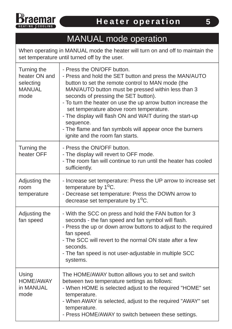

## MANUAL mode operation

When operating in MANUAL mode the heater will turn on and off to maintain the set temperature until turned off by the user.

| Turning the<br>heater ON and<br>selecting<br><b>MANUAL</b><br>mode | - Press the ON/OFF button.<br>- Press and hold the SET button and press the MAN/AUTO<br>button to set the remote control to MAN mode (the<br>MAN/AUTO button must be pressed within less than 3<br>seconds of pressing the SET button).<br>- To turn the heater on use the up arrow button increase the<br>set temperature above room temperature.<br>- The display will flash ON and WAIT during the start-up<br>sequence.<br>- The flame and fan symbols will appear once the burners<br>ignite and the room fan starts. |
|--------------------------------------------------------------------|----------------------------------------------------------------------------------------------------------------------------------------------------------------------------------------------------------------------------------------------------------------------------------------------------------------------------------------------------------------------------------------------------------------------------------------------------------------------------------------------------------------------------|
| Turning the<br>heater OFF                                          | - Press the ON/OFF button.<br>- The display will revert to OFF mode.<br>- The room fan will continue to run until the heater has cooled<br>sufficiently.                                                                                                                                                                                                                                                                                                                                                                   |
| Adjusting the<br>room<br>temperature                               | - Increase set temperature: Press the UP arrow to increase set<br>temperature by 1 <sup>o</sup> C.<br>- Decrease set temperature: Press the DOWN arrow to<br>decrease set temperature by 1 <sup>o</sup> C.                                                                                                                                                                                                                                                                                                                 |
| Adjusting the<br>fan speed                                         | - With the SCC on press and hold the FAN button for 3<br>seconds - the fan speed and fan symbol will flash.<br>- Press the up or down arrow buttons to adjust to the required<br>fan speed.<br>- The SCC will revert to the normal ON state after a few<br>seconds.<br>- The fan speed is not user-adjustable in multiple SCC<br>systems.                                                                                                                                                                                  |
| Using<br><b>HOME/AWAY</b><br>in MANUAL<br>mode                     | The HOME/AWAY button alllows you to set and switch<br>between two temperature settings as follows:<br>- When HOME is selected adjust to the required "HOME" set<br>temperature.<br>- When AWAY is selected, adjust to the required "AWAY" set<br>temperature.<br>- Press HOME/AWAY to switch between these settings.                                                                                                                                                                                                       |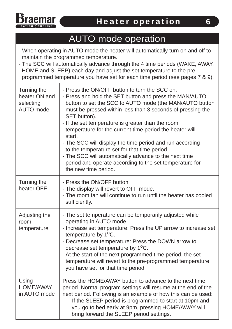

#### AUTO mode operation

- When operating in AUTO mode the heater will automatically turn on and off to maintain the programmed temperature.
- The SCC will automatically advance through the 4 time periods (WAKE, AWAY, HOME and SLEEP) each day and adjust the set temperature to the pre programmed temperature you have set for each time period (see pages 7 & 9).

| Turning the<br>heater ON and<br>selecting<br><b>AUTO</b> mode | - Press the ON/OFF button to turn the SCC on.<br>- Press and hold the SET button and press the MAN/AUTO<br>button to set the SCC to AUTO mode (the MAN/AUTO button<br>must be pressed within less than 3 seconds of pressing the<br>SET button).<br>- If the set temperature is greater than the room<br>temperature for the current time period the heater will<br>start.<br>- The SCC will display the time period and run according<br>to the temperature set for that time period.<br>- The SCC will automatically advance to the next time<br>period and operate according to the set temperature for<br>the new time period. |
|---------------------------------------------------------------|------------------------------------------------------------------------------------------------------------------------------------------------------------------------------------------------------------------------------------------------------------------------------------------------------------------------------------------------------------------------------------------------------------------------------------------------------------------------------------------------------------------------------------------------------------------------------------------------------------------------------------|
| Turning the<br>heater OFF                                     | - Press the ON/OFF button.<br>- The display will revert to OFF mode.<br>- The room fan will continue to run until the heater has cooled<br>sufficiently.                                                                                                                                                                                                                                                                                                                                                                                                                                                                           |
| Adjusting the<br>room<br>temperature                          | - The set temperature can be temporarily adjusted while<br>operating in AUTO mode.<br>- Increase set temperature: Press the UP arrow to increase set<br>temperature by $1^{\circ}$ C.<br>- Decrease set temperature: Press the DOWN arrow to<br>decrease set temperature by 1 <sup>o</sup> C.<br>- At the start of the next programmed time period, the set<br>temperature will revert to the pre-programmed temperature<br>you have set for that time period.                                                                                                                                                                     |
| Using<br><b>HOME/AWAY</b><br>in AUTO mode                     | Press the HOME/AWAY button to advance to the next time<br>period. Normal program settings will resume at the end of the<br>next period. Following is an example of how this can be used:<br>- If the SLEEP period is programmed to start at 10pm and<br>you go to bed early at 9pm, pressing HOME/AWAY will<br>bring forward the SLEEP period settings.                                                                                                                                                                                                                                                                            |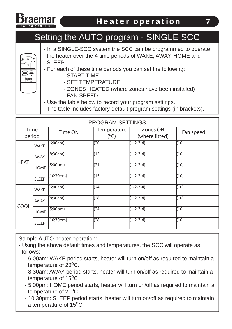

### Setting the AUTO program - SINGLE SCC

- **AUTO ON HEAT HOMEWED** HOME/AWAY **Braemar**
- In a SINGLE-SCC system the SCC can be programmed to operate the heater over the 4 time periods of WAKE, AWAY, HOME and SLEEP.
- For each of these time periods you can set the following:
	- START TIME
	- SET TEMPERATURE
	- ZONES HEATED (where zones have been installed)
	- FAN SPEED
- Use the table below to record your program settings.
- The table includes factory-default program settings (in brackets).

| <b>PROGRAM SETTINGS</b> |              |                        |                                     |                            |           |
|-------------------------|--------------|------------------------|-------------------------------------|----------------------------|-----------|
| <b>Time</b><br>period   |              | Time ON                | <b>Temperature</b><br>$(^{\circ}C)$ | Zones ON<br>(where fitted) | Fan speed |
|                         | <b>WAKE</b>  | (6:00am)               | (20)                                | $(1 - 2 - 3 - 4)$          | (10)      |
|                         | <b>AWAY</b>  | (8:30am)               | (15)                                | $(1-2-3-4)$                | (10)      |
| <b>HEAT</b>             | <b>HOME</b>  | (5:00pm)               | (21)                                | $(1 - 2 - 3 - 4)$          | (10)      |
|                         | <b>SLEEP</b> | (10:30 <sub>pm</sub> ) | (15)                                | $(1 - 2 - 3 - 4)$          | (10)      |
|                         | <b>WAKE</b>  | (6:00am)               | (24)                                | $(1 - 2 - 3 - 4)$          | (10)      |
| <b>COOL</b>             | <b>AWAY</b>  | (8:30am)               | (28)                                | $(1 - 2 - 3 - 4)$          | (10)      |
|                         | <b>HOME</b>  | (5:00 <sub>pm</sub> )  | (24)                                | $(1 - 2 - 3 - 4)$          | (10)      |
|                         | <b>SLEEP</b> | (10:30pm)              | (28)                                | $(1-2-3-4)$                | (10)      |

Sample AUTO heater operation:

- Using the above default times and temperatures, the SCC will operate as follows:

- 6.00am: WAKE period starts, heater will turn on/off as required to maintain a temperature of  $20^{\circ}$ C.
- 8.30am: AWAY period starts, heater will turn on/off as required to maintain a temperature of  $15^{\circ}$ C
- 5.00pm: HOME period starts, heater will turn on/off as required to maintain a temperature of  $21^{\circ}$ C
- 10.30pm: SLEEP period starts, heater will turn on/off as required to maintain a temperature of 15<sup>o</sup>C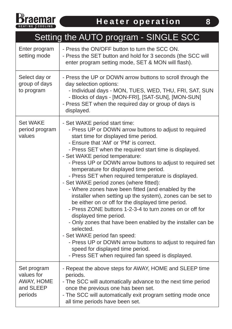

#### - Press the ON/OFF button to turn the SCC ON. - Press the SET button and hold for 3 seconds (the SCC will enter program setting mode, SET & MON will flash). Enter program setting mode - Press the UP or DOWN arrow buttons to scroll through the day selection options: - Individual days - MON, TUES, WED, THU, FRI, SAT, SUN - Blocks of days - [MON-FRI], [SAT-SUN], [MON-SUN] - Press SET when the required day or group of days is displayed. Select day or group of days to program - Set WAKE period start time: - Press UP or DOWN arrow buttons to adjust to required start time for displayed time period. - Ensure that 'AM' or 'PM' is correct. - Press SET when the required start time is displayed. - Set WAKE period temperature: - Press UP or DOWN arrow buttons to adjust to required set temperature for displayed time period. - Press SET when required temperature is displayed. - Set WAKE period zones (where fitted): - Where zones have been fitted (and enabled by the installer when setting up the system), zones can be set to be either on or off for the displayed time period. - Press ZONE buttons 1-2-3-4 to turn zones on or off for displayed time period. - Only zones that have been enabled by the installer can be selected. - Set WAKE period fan speed: - Press UP or DOWN arrow buttons to adjust to required fan speed for displayed time period. - Press SET when required fan speed is displayed. Set WAKE period program values Setting the AUTO program - SINGLE SCC - Repeat the above steps for AWAY, HOME and SLEEP time periods. - The SCC will automatically advance to the next time period once the previous one has been set. - The SCC will automatically exit program setting mode once all time periods have been set. Set program values for AWAY, HOME and SLEEP periods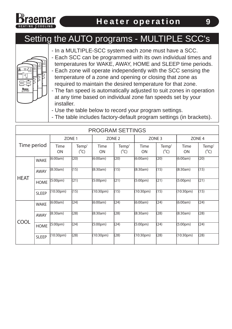

#### Setting the AUTO programs - MULTIPLE SCC's





- Each SCC can be programmed with its own individual times and temperatures for WAKE, AWAY, HOME and SLEEP time periods.
- Each zone will operate independently with the SCC sensing the temperature of a zone and opening or closing that zone as required to maintain the desired temperature for that zone.
- The fan speed is automatically adjusted to suit zones in operation at any time based on individual zone fan speeds set by your installer.
- Use the table below to record your program settings.
- The table includes factory-default program settings (in brackets).

| <b>PROGRAM SETTINGS</b> |              |                        |                        |                        |                        |                        |                        |                        |                        |
|-------------------------|--------------|------------------------|------------------------|------------------------|------------------------|------------------------|------------------------|------------------------|------------------------|
|                         |              | ZONE <sub>1</sub>      |                        | ZONE <sub>2</sub>      |                        | ZONE <sub>3</sub>      |                        | ZONE <sub>4</sub>      |                        |
| Time period             |              | Time<br>ON             | Temp'<br>$(^{\circ}C)$ | Time<br>ON             | Temp'<br>$(^{\circ}C)$ | Time<br>ON             | Temp'<br>$(^{\circ}C)$ | Time<br>ON             | Temp'<br>$(^{\circ}C)$ |
|                         | <b>WAKE</b>  | (6:00am)               | (20)                   | (6:00am)               | (20)                   | (6:00am)               | (20)                   | (6:00am)               | (20)                   |
|                         | <b>AWAY</b>  | (8:30am)               | (15)                   | (8:30am)               | (15)                   | (8:30am)               | (15)                   | (8:30am)               | (15)                   |
| <b>HEAT</b>             | <b>HOME</b>  | (5:00 <sub>pm</sub> )  | (21)                   | (5:00 <sub>pm</sub> )  | (21)                   | (5:00 <sub>pm</sub> )  | (21)                   | (5:00 <sub>pm</sub> )  | (21)                   |
|                         | <b>SLEEP</b> | (10:30 <sub>pm</sub> ) | (15)                   | (10:30 <sub>pm</sub> ) | (15)                   | (10:30 <sub>pm</sub> ) | (15)                   | (10:30pm)              | (15)                   |
|                         | <b>WAKE</b>  | (6:00am)               | (24)                   | (6:00am)               | (24)                   | (6:00am)               | (24)                   | (6:00am)               | (24)                   |
| <b>COOL</b>             | <b>AWAY</b>  | (8:30am)               | (28)                   | (8:30am)               | (28)                   | (8:30am)               | (28)                   | (8:30am)               | (28)                   |
|                         | <b>HOME</b>  | (5:00 <sub>pm</sub> )  | (24)                   | (5:00 <sub>pm</sub> )  | (24)                   | (5:00 <sub>pm</sub> )  | (24)                   | (5:00 <sub>pm</sub> )  | (24)                   |
|                         | <b>SLEEP</b> | (10:30 <sub>pm</sub> ) | (28)                   | (10:30 <sub>pm</sub> ) | (28)                   | (10:30 <sub>pm</sub> ) | (28)                   | (10:30 <sub>pm</sub> ) | (28)                   |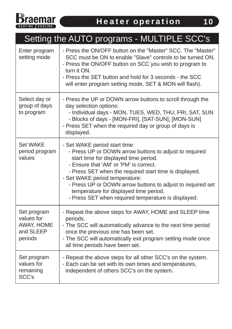

# Setting the AUTO programs - MULTIPLE SCC's

| Enter program<br>setting mode                                   | - Press the ON/OFF button on the "Master" SCC. The "Master"<br>SCC must be ON to enable "Slave" controls to be turned ON.<br>- Press the ON/OFF button on SCC you wish to program to<br>turn it ON.<br>- Press the SET button and hold for 3 seconds - the SCC<br>will enter program setting mode, SET & MON will flash).                                                                                                             |
|-----------------------------------------------------------------|---------------------------------------------------------------------------------------------------------------------------------------------------------------------------------------------------------------------------------------------------------------------------------------------------------------------------------------------------------------------------------------------------------------------------------------|
| Select day or<br>group of days<br>to program                    | - Press the UP or DOWN arrow buttons to scroll through the<br>day selection options:<br>- Individual days - MON, TUES, WED, THU, FRI, SAT, SUN<br>- Blocks of days - [MON-FRI], [SAT-SUN], [MON-SUN]<br>- Press SET when the required day or group of days is<br>displayed.                                                                                                                                                           |
| <b>Set WAKE</b><br>period program<br>values                     | - Set WAKE period start time:<br>- Press UP or DOWN arrow buttons to adjust to required<br>start time for displayed time period.<br>- Ensure that 'AM' or 'PM' is correct.<br>- Press SET when the required start time is displayed.<br>- Set WAKE period temperature:<br>- Press UP or DOWN arrow buttons to adjust to required set<br>temperature for displayed time period.<br>- Press SET when required temperature is displayed. |
| Set program<br>values for<br>AWAY, HOME<br>and SLEEP<br>periods | - Repeat the above steps for AWAY, HOME and SLEEP time<br>periods.<br>- The SCC will automatically advance to the next time period<br>once the previous one has been set.<br>- The SCC will automatically exit program setting mode once<br>all time periods have been set.                                                                                                                                                           |
| Set program<br>values for<br>remaining<br><b>SCC's</b>          | - Repeat the above steps for all other SCC's on the system.<br>- Each can be set with its own times and temperatures,<br>independent of others SCC's on the system.                                                                                                                                                                                                                                                                   |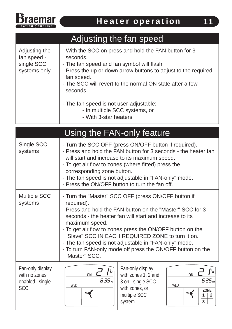

#### - With the SCC on press and hold the FAN button for 3 seconds. - The fan speed and fan symbol will flash. - Press the up or down arrow buttons to adjust to the required fan speed. - The SCC will revert to the normal ON state after a few seconds. - The fan speed is not user-adjustable: Adjusting the fan speed single SCC systems only Adjusting the fan speed

- In multiple SCC systems, or
- With 3-star heaters.

|                                                               | Using the FAN-only feature                                                                                                                                                                                                                                                                                                                                                                                                                                           |                                                                                                           |                           |
|---------------------------------------------------------------|----------------------------------------------------------------------------------------------------------------------------------------------------------------------------------------------------------------------------------------------------------------------------------------------------------------------------------------------------------------------------------------------------------------------------------------------------------------------|-----------------------------------------------------------------------------------------------------------|---------------------------|
| Single SCC<br>systems                                         | - Turn the SCC OFF (press ON/OFF button if required).<br>- Press and hold the FAN button for 3 seconds - the heater fan<br>will start and increase to its maximum speed.<br>- To get air flow to zones (where fitted) press the<br>corresponding zone button.<br>- The fan speed is not adjustable in "FAN-only" mode.<br>- Press the ON/OFF button to turn the fan off.                                                                                             |                                                                                                           |                           |
| <b>Multiple SCC</b><br>systems                                | - Turn the "Master" SCC OFF (press ON/OFF button if<br>required).<br>- Press and hold the FAN button on the "Master" SCC for 3<br>seconds - the heater fan will start and increase to its<br>maximum speed.<br>- To get air flow to zones press the ON/OFF button on the<br>"Slave" SCC IN EACH REQUIRED ZONE to turn it on.<br>- The fan speed is not adjustable in "FAN-only" mode.<br>- To turn FAN-only mode off press the ON/OFF button on the<br>"Master" SCC. |                                                                                                           |                           |
| Fan-only display<br>with no zones<br>enabled - single<br>SCC. | ON<br>6:35 m<br><b>WED</b>                                                                                                                                                                                                                                                                                                                                                                                                                                           | Fan-only display<br>with zones 1, 2 and<br>3 on - single SCC<br>with zones, or<br>multiple SCC<br>system. | ON<br>6.35m<br><b>WED</b> |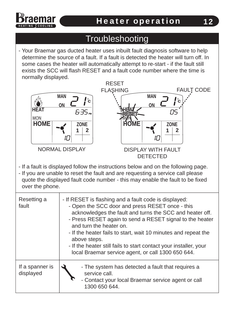

### **Troubleshooting**

- Your Braemar gas ducted heater uses inbuilt fault diagnosis software to help determine the source of a fault. If a fault is detected the heater will turn off. In some cases the heater will automatically attempt to re-start - if the fault still exists the SCC will flash RESET and a fault code number where the time is normally displayed.



- If a fault is displayed follow the instructions below and on the following page.
- If you are unable to reset the fault and are requesting a service call please quote the displayed fault code number - this may enable the fault to be fixed over the phone.

| Resetting a<br>fault         | - If RESET is flashing and a fault code is displayed:<br>- Open the SCC door and press RESET once - this<br>acknowledges the fault and turns the SCC and heater off.<br>- Press RESET again to send a RESET signal to the heater<br>and turn the heater on.<br>- If the heater fails to start, wait 10 minutes and repeat the<br>above steps.<br>- If the heater still fails to start contact your installer, your<br>local Braemar service agent, or call 1300 650 644. |  |
|------------------------------|--------------------------------------------------------------------------------------------------------------------------------------------------------------------------------------------------------------------------------------------------------------------------------------------------------------------------------------------------------------------------------------------------------------------------------------------------------------------------|--|
| If a spanner is<br>displayed | - The system has detected a fault that requires a<br>service call.<br>- Contact your local Braemar service agent or call<br>1300 650 644.                                                                                                                                                                                                                                                                                                                                |  |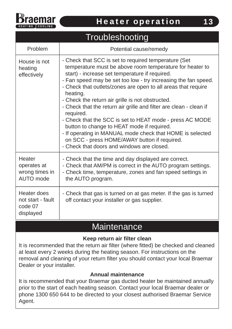

|                                                                    | Troubleshooting                                                                                                                                                                                                                                                                                                                                                                                                                                                                                                                                                                                                                                                                                                               |
|--------------------------------------------------------------------|-------------------------------------------------------------------------------------------------------------------------------------------------------------------------------------------------------------------------------------------------------------------------------------------------------------------------------------------------------------------------------------------------------------------------------------------------------------------------------------------------------------------------------------------------------------------------------------------------------------------------------------------------------------------------------------------------------------------------------|
| Problem                                                            | Potential cause/remedy                                                                                                                                                                                                                                                                                                                                                                                                                                                                                                                                                                                                                                                                                                        |
| House is not<br>heating<br>effectively                             | - Check that SCC is set to required temperature (Set<br>temperature must be above room temperature for heater to<br>start) - increase set temperature if required.<br>- Fan speed may be set too low - try increasing the fan speed.<br>- Check that outlets/zones are open to all areas that require<br>heating.<br>- Check the return air grille is not obstructed.<br>- Check that the return air grille and filter are clean - clean if<br>required.<br>- Check that the SCC is set to HEAT mode - press AC MODE<br>button to change to HEAT mode if required.<br>- If operating in MANUAL mode check that HOME is selected<br>on SCC - press HOME/AWAY button if required.<br>- Check that doors and windows are closed. |
| <b>Heater</b><br>operates at<br>wrong times in<br><b>AUTO</b> mode | - Check that the time and day displayed are correct.<br>- Check that AM/PM is correct in the AUTO program settings.<br>- Check time, temperature, zones and fan speed settings in<br>the AUTO program.                                                                                                                                                                                                                                                                                                                                                                                                                                                                                                                        |
| Heater does<br>not start - fault<br>code 07<br>displayed           | - Check that gas is turned on at gas meter. If the gas is turned<br>off contact your installer or gas supplier.                                                                                                                                                                                                                                                                                                                                                                                                                                                                                                                                                                                                               |

#### **Maintenance**

#### **Keep return air filter clean**

It is recommended that the return air filter (where fitted) be checked and cleaned at least every 2 weeks during the heating season. For instructions on the removal and cleaning of your return filter you should contact your local Braemar Dealer or your installer.

#### **Annual maintenance**

It is recommended that your Braemar gas ducted heater be maintained annually prior to the start of each heating season. Contact your local Braemar dealer or phone 1300 650 644 to be directed to your closest authorised Braemar Service Agent.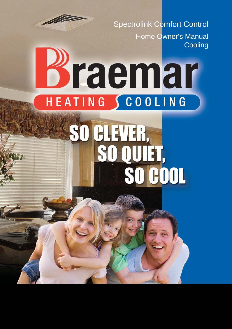

Spectrolink Comfort Control Home Owner's Manual **Cooling** 

# Braemar HEATING SCOOLING

# GLEVER, SO ET, **COOL**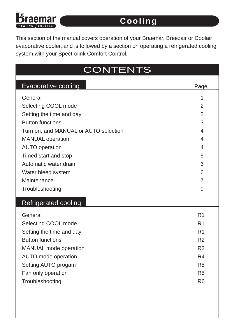# 1ar

#### Cooling

This section of the manual covers operation of your Braemar, Breezair or Coolair evaporative cooler, and is followed by a section on operating a refrigerated cooling system with your Spectrolink Comfort Control.

| <b>CONTENTS</b>                       |      |  |
|---------------------------------------|------|--|
| <b>Evaporative cooling</b>            | Page |  |
| General                               |      |  |
| Selecting COOL mode                   | 2    |  |
| Setting the time and day              | 2    |  |
| <b>Button functions</b>               | 3    |  |
| Turn on, and MANUAL or AUTO selection | 4    |  |
| <b>MANUAL</b> operation               | 4    |  |
| <b>AUTO operation</b>                 | 4    |  |
| Timed start and stop                  | 5    |  |
| Automatic water drain                 | 6    |  |
| Water bleed system                    | 6    |  |
| Maintenance                           |      |  |
| Troubleshooting                       | 9    |  |
|                                       |      |  |

#### Refrigerated cooling

| General                      | R <sub>1</sub> |
|------------------------------|----------------|
| Selecting COOL mode          | R <sub>1</sub> |
| Setting the time and day     | R <sub>1</sub> |
| <b>Button functions</b>      | R <sub>2</sub> |
| <b>MANUAL</b> mode operation | R <sub>3</sub> |
| <b>AUTO</b> mode operation   | R <sub>4</sub> |
| Setting AUTO progam          | R <sub>5</sub> |
| Fan only operation           | R <sub>5</sub> |
| Troubleshooting              | R <sub>6</sub> |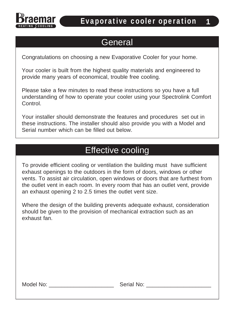

#### **General**

Congratulations on choosing a new Evaporative Cooler for your home.

Your cooler is built from the highest quality materials and engineered to provide many years of economical, trouble free cooling.

Please take a few minutes to read these instructions so you have a full understanding of how to operate your cooler using your Spectrolink Comfort Control.

Your installer should demonstrate the features and procedures set out in these instructions. The installer should also provide you with a Model and Serial number which can be filled out below.

#### Effective cooling

To provide efficient cooling or ventilation the building must have sufficient exhaust openings to the outdoors in the form of doors, windows or other vents. To assist air circulation, open windows or doors that are furthest from the outlet vent in each room. In every room that has an outlet vent, provide an exhaust opening 2 to 2.5 times the outlet vent size.

Where the design of the building prevents adequate exhaust, consideration should be given to the provision of mechanical extraction such as an exhaust fan.

Model No: \_\_\_\_\_\_\_\_\_\_\_\_\_\_\_\_\_\_\_\_\_ Serial No: \_\_\_\_\_\_\_\_\_\_\_\_\_\_\_\_\_\_\_\_\_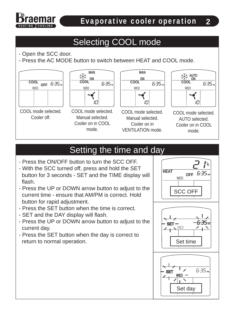### Selecting COOL mode

- Open the SCC door.
- Press the AC MODE button to switch between HEAT and COOL mode.







COOL mode selected. Manual selected. Cooler on in COOL mode.



COOL mode selected. Manual selected. Cooler on in VENTILATION mode.



COOL mode selected. AUTO selected. Cooler on in COOL mode.

### Setting the time and day

- Press the ON/OFF button to turn the SCC OFF.
- With the SCC turned off, press and hold the SET button for 3 seconds - SET and the TIME display will flash.
- Press the UP or DOWN arrow button to adjust to the current time - ensure that AM/PM is correct. Hold button for rapid adjustment.
- Press the SET button when the time is correct.
- SET and the DAY display will flash.
- Press the UP or DOWN arrow button to adjust to the current day.
- Press the SET button when the day is correct to return to normal operation.





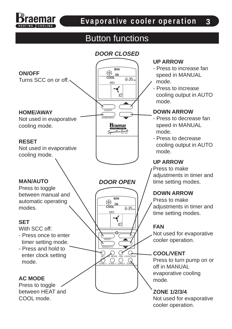

#### Button functions



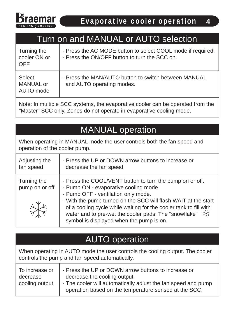

#### Turn on and MANUAL or AUTO selection

| Turning the<br>cooler ON or<br><b>OFF</b> | - Press the AC MODE button to select COOL mode if required.<br>- Press the ON/OFF button to turn the SCC on. |
|-------------------------------------------|--------------------------------------------------------------------------------------------------------------|
| Select<br><b>MANUAL or</b><br>AUTO mode   | - Press the MAN/AUTO button to switch between MANUAL<br>and AUTO operating modes.                            |

Note: In multiple SCC systems, the evaporative cooler can be operated from the "Master" SCC only. Zones do not operate in evaporative cooling mode.

### MANUAL operation

When operating in MANUAL mode the user controls both the fan speed and operation of the cooler pump.

| Adjusting the                 | - Press the UP or DOWN arrow buttons to increase or                                                                                                                                                                                                                                                                                                                                                |
|-------------------------------|----------------------------------------------------------------------------------------------------------------------------------------------------------------------------------------------------------------------------------------------------------------------------------------------------------------------------------------------------------------------------------------------------|
| fan speed                     | decrease the fan speed.                                                                                                                                                                                                                                                                                                                                                                            |
| Turning the<br>pump on or off | - Press the COOL/VENT button to turn the pump on or off.<br>- Pump ON - evaporative cooling mode.<br>- Pump OFF - ventilation only mode.<br>- With the pump turned on the SCC will flash WAIT at the start<br>of a cooling cycle while waiting for the cooler tank to fill with<br>water and to pre-wet the cooler pads. The "snowflake" $\frac{1}{2}$<br>symbol is displayed when the pump is on. |

#### AUTO operation

When operating in AUTO mode the user controls the cooling output. The cooler controls the pump and fan speed automatically.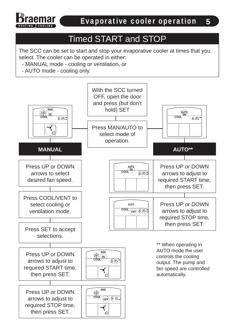

### Timed START and STOP

The SCC can be set to start and stop your evaporative cooler at times that you select. The cooler can be operated in either:

- MANUAL mode cooling or ventilation, or
- AUTO mode cooling only.

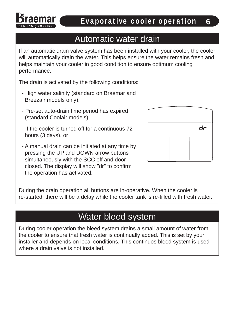#### Automatic water drain

If an automatic drain valve system has been installed with your cooler, the cooler will automatically drain the water. This helps ensure the water remains fresh and helps maintain your cooler in good condition to ensure optimum cooling performance.

The drain is activated by the following conditions:

- High water salinity (standard on Braemar and Breezair models only),
- Pre-set auto-drain time period has expired (standard Coolair models),
- If the cooler is turned off for a continuous 72 hours (3 days), or
- A manual drain can be initiated at any time by pressing the UP and DOWN arrow buttons simultaneously with the SCC off and door closed. The display will show "dr" to confirm the operation has activated.



During the drain operation all buttons are in-operative. When the cooler is re-started, there will be a delay while the cooler tank is re-filled with fresh water.

#### Water bleed system

During cooler operation the bleed system drains a small amount of water from the cooler to ensure that fresh water is continually added. This is set by your installer and depends on local conditions. This continuos bleed system is used where a drain valve is not installed.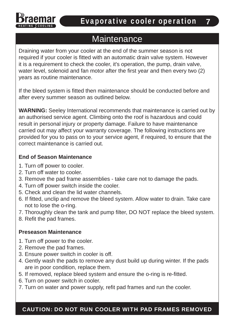

#### **Maintenance**

Draining water from your cooler at the end of the summer season is not required if your cooler is fitted with an automatic drain valve system. However it is a requirement to check the cooler, it's operation, the pump, drain valve, water level, solenoid and fan motor after the first year and then every two (2) years as routine maintenance.

If the bleed system is fitted then maintenance should be conducted before and after every summer season as outlined below.

**WARNING:** Seeley International recommends that maintenance is carried out by an authorised service agent. Climbing onto the roof is hazardous and could result in personal injury or property damage. Failure to have maintenance carried out may affect your warranty coverage. The following instructions are provided for you to pass on to your service agent, if required, to ensure that the correct maintenance is carried out.

#### **End of Season Maintenance**

- 1. Turn off power to cooler.
- 2. Turn off water to cooler.
- 3. Remove the pad frame assemblies take care not to damage the pads.
- 4. Turn off power switch inside the cooler.
- 5. Check and clean the lid water channels.
- 6. If fitted, unclip and remove the bleed system. Allow water to drain. Take care not to lose the o-ring.
- 7. Thoroughly clean the tank and pump filter, DO NOT replace the bleed system.
- 8. Refit the pad frames.

#### **Preseason Maintenance**

- 1. Turn off power to the cooler.
- 2. Remove the pad frames.
- 3. Ensure power switch in cooler is off.
- 4. Gently wash the pads to remove any dust build up during winter. If the pads are in poor condition, replace them.
- 5. If removed, replace bleed system and ensure the o-ring is re-fitted.
- 6. Turn on power switch in cooler.
- 7. Turn on water and power supply, refit pad frames and run the cooler.

CAUTION: DO NOT RUN COOLER WITH PAD FRAMES REMOVED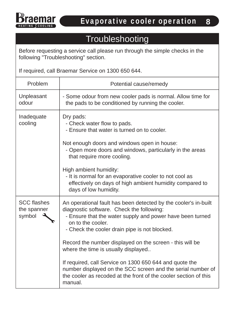

#### **Troubleshooting**

Before requesting a service call please run through the simple checks in the following "Troubleshooting" section.

If required, call Braemar Service on 1300 650 644.

| Problem                                     | Potential cause/remedy                                                                                                                                                                                                                                                                                                                                                                                                                                                                                                                                      |  |
|---------------------------------------------|-------------------------------------------------------------------------------------------------------------------------------------------------------------------------------------------------------------------------------------------------------------------------------------------------------------------------------------------------------------------------------------------------------------------------------------------------------------------------------------------------------------------------------------------------------------|--|
| Unpleasant<br>odour                         | - Some odour from new cooler pads is normal. Allow time for<br>the pads to be conditioned by running the cooler.                                                                                                                                                                                                                                                                                                                                                                                                                                            |  |
| Inadequate<br>cooling                       | Dry pads:<br>- Check water flow to pads.<br>- Ensure that water is turned on to cooler.<br>Not enough doors and windows open in house:<br>- Open more doors and windows, particularly in the areas<br>that require more cooling.<br>High ambient humidity:<br>- It is normal for an evaporative cooler to not cool as<br>effectively on days of high ambient humidity compared to<br>days of low humidity.                                                                                                                                                  |  |
| <b>SCC flashes</b><br>the spanner<br>symbol | An operational fault has been detected by the cooler's in-built<br>diagnostic software. Check the following:<br>- Ensure that the water supply and power have been turned<br>on to the cooler.<br>- Check the cooler drain pipe is not blocked.<br>Record the number displayed on the screen - this will be<br>where the time is usually displayed<br>If required, call Service on 1300 650 644 and quote the<br>number displayed on the SCC screen and the serial number of<br>the cooler as recoded at the front of the cooler section of this<br>manual. |  |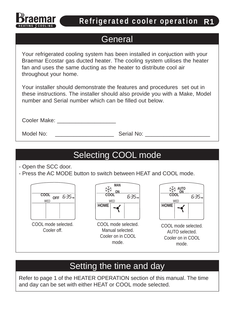

#### Refrigerated cooler operation R1

#### **General**

Your refrigerated cooling system has been installed in conjuction with your Braemar Ecostar gas ducted heater. The cooling system utilises the heater fan and uses the same ducting as the heater to distribute cool air throughout your home.

Your installer should demonstrate the features and procedures set out in these instructions. The installer should also provide you with a Make, Model number and Serial number which can be filled out below.

Cooler Make: \_\_\_\_\_\_\_\_\_\_\_\_\_\_\_\_\_\_\_

Model No: example of the Serial No:  $\blacksquare$ 

# Selecting COOL mode

- Open the SCC door.

- Press the AC MODE button to switch between HEAT and COOL mode.





COOL mode selected. Manual selected. Cooler on in COOL mode.



COOL mode selected. AUTO selected. Cooler on in COOL mode.

# Setting the time and day

Refer to page 1 of the HEATER OPERATION section of this manual. The time and day can be set with either HEAT or COOL mode selected.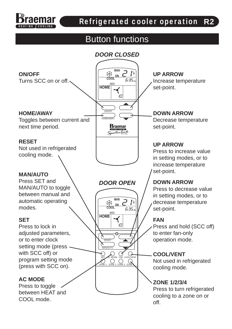

#### Refrigerated cooler operation R2

#### Button functions

#### *DOOR CLOSED*

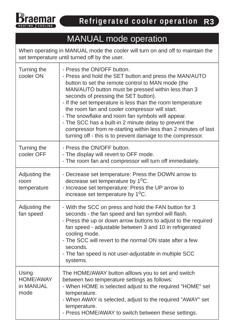

## MANUAL mode operation

When operating in MANUAL mode the cooler will turn on and off to maintain the set temperature until turned off by the user.

| Turning the<br>cooler ON                       | - Press the ON/OFF button.<br>- Press and hold the SET button and press the MAN/AUTO<br>button to set the remote control to MAN mode (the<br>MAN/AUTO button must be pressed within less than 3<br>seconds of pressing the SET button).<br>- If the set temperature is less than the room temperature<br>the room fan and cooler compressor will start.<br>- The snowflake and room fan symbols will appear.<br>- The SCC has a built-in 2 minute delay to prevent the<br>compressor from re-starting within less than 2 minutes of last<br>turning off - this is to prevent damage to the compressor. |
|------------------------------------------------|--------------------------------------------------------------------------------------------------------------------------------------------------------------------------------------------------------------------------------------------------------------------------------------------------------------------------------------------------------------------------------------------------------------------------------------------------------------------------------------------------------------------------------------------------------------------------------------------------------|
| Turning the<br>cooler OFF                      | - Press the ON/OFF button.<br>- The display will revert to OFF mode.<br>- The room fan and compressor will turn off immediately.                                                                                                                                                                                                                                                                                                                                                                                                                                                                       |
| Adjusting the<br>room<br>temperature           | - Decrease set temperature: Press the DOWN arrow to<br>decrease set temperature by 1 <sup>o</sup> C.<br>- Increase set temperature: Press the UP arrow to<br>increase set temperature by 1 <sup>o</sup> C.                                                                                                                                                                                                                                                                                                                                                                                             |
| Adjusting the<br>fan speed                     | - With the SCC on press and hold the FAN button for 3<br>seconds - the fan speed and fan symbol will flash.<br>- Press the up or down arrow buttons to adjust to the required<br>fan speed - adjustable between 3 and 10 in refrigerated<br>cooling mode.<br>- The SCC will revert to the normal ON state after a few<br>seconds.<br>- The fan speed is not user-adjustable in multiple SCC<br>systems.                                                                                                                                                                                                |
| Using<br><b>HOME/AWAY</b><br>in MANUAL<br>mode | The HOME/AWAY button alllows you to set and switch<br>between two temperature settings as follows:<br>- When HOME is selected adjust to the required "HOME" set<br>temperature.<br>- When AWAY is selected, adjust to the required "AWAY" set<br>temperature.<br>- Press HOME/AWAY to switch between these settings.                                                                                                                                                                                                                                                                                   |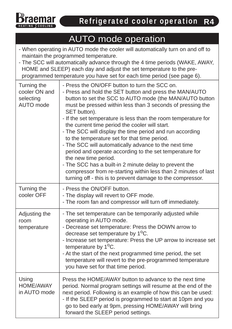

#### AUTO mode operation

- When operating in AUTO mode the cooler will automatically turn on and off to maintain the programmed temperature.
- The SCC will automatically advance through the 4 time periods (WAKE, AWAY, HOME and SLEEP) each day and adjust the set temperature to the pre programmed temperature you have set for each time period (see page 6).

| Turning the<br>cooler ON and<br>selecting<br><b>AUTO</b> mode | - Press the ON/OFF button to turn the SCC on.<br>- Press and hold the SET button and press the MAN/AUTO<br>button to set the SCC to AUTO mode (the MAN/AUTO button<br>must be pressed within less than 3 seconds of pressing the<br>SET button).<br>- If the set temperature is less than the room temperature for<br>the current time period the cooler will start.<br>- The SCC will display the time period and run according<br>to the temperature set for that time period.<br>- The SCC will automatically advance to the next time<br>period and operate according to the set temperature for<br>the new time period.<br>- The SCC has a built-in 2 minute delay to prevent the<br>compressor from re-starting within less than 2 minutes of last<br>turning off - this is to prevent damage to the compressor. |
|---------------------------------------------------------------|------------------------------------------------------------------------------------------------------------------------------------------------------------------------------------------------------------------------------------------------------------------------------------------------------------------------------------------------------------------------------------------------------------------------------------------------------------------------------------------------------------------------------------------------------------------------------------------------------------------------------------------------------------------------------------------------------------------------------------------------------------------------------------------------------------------------|
| Turning the<br>cooler OFF                                     | - Press the ON/OFF button.<br>- The display will revert to OFF mode.<br>- The room fan and compressor will turn off immediately.                                                                                                                                                                                                                                                                                                                                                                                                                                                                                                                                                                                                                                                                                       |
| Adjusting the<br>room<br>temperature                          | - The set temperature can be temporarily adjusted while<br>operating in AUTO mode.<br>- Decrease set temperature: Press the DOWN arrow to<br>decrease set temperature by 1 <sup>o</sup> C.<br>- Increase set temperature: Press the UP arrow to increase set<br>temperature by $1^{\circ}$ C.<br>- At the start of the next programmed time period, the set<br>temperature will revert to the pre-programmed temperature<br>you have set for that time period.                                                                                                                                                                                                                                                                                                                                                         |
| Using<br><b>HOME/AWAY</b><br>in AUTO mode                     | Press the HOME/AWAY button to advance to the next time<br>period. Normal program settings will resume at the end of the<br>next period. Following is an example of how this can be used:<br>- If the SLEEP period is programmed to start at 10pm and you<br>go to bed early at 9pm, pressing HOME/AWAY will bring<br>forward the SLEEP period settings.                                                                                                                                                                                                                                                                                                                                                                                                                                                                |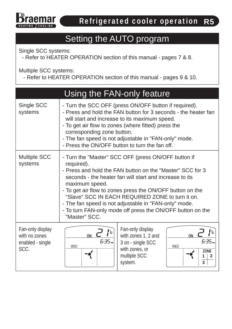

#### Setting the AUTO program

Single SCC systems:

- Refer to HEATER OPERATION section of this manual - pages 7 & 8.

Multiple SCC systems:

- Refer to HEATER OPERATION section of this manual - pages 9 & 10.

|                                                               | Using the FAN-only feature                                                                                                                                                                                                                                                                                                                                                                                                                                           |                                                                                                           |                                                                  |
|---------------------------------------------------------------|----------------------------------------------------------------------------------------------------------------------------------------------------------------------------------------------------------------------------------------------------------------------------------------------------------------------------------------------------------------------------------------------------------------------------------------------------------------------|-----------------------------------------------------------------------------------------------------------|------------------------------------------------------------------|
| Single SCC<br>systems                                         | - Turn the SCC OFF (press ON/OFF button if required).<br>- Press and hold the FAN button for 3 seconds - the heater fan<br>will start and increase to its maximum speed.<br>- To get air flow to zones (where fitted) press the<br>corresponding zone button.<br>- The fan speed is not adjustable in "FAN-only" mode.<br>- Press the ON/OFF button to turn the fan off.                                                                                             |                                                                                                           |                                                                  |
| <b>Multiple SCC</b><br>systems                                | - Turn the "Master" SCC OFF (press ON/OFF button if<br>required).<br>- Press and hold the FAN button on the "Master" SCC for 3<br>seconds - the heater fan will start and increase to its<br>maximum speed.<br>- To get air flow to zones press the ON/OFF button on the<br>"Slave" SCC IN EACH REQUIRED ZONE to turn it on.<br>- The fan speed is not adjustable in "FAN-only" mode.<br>- To turn FAN-only mode off press the ON/OFF button on the<br>"Master" SCC. |                                                                                                           |                                                                  |
| Fan-only display<br>with no zones<br>enabled - single<br>SCC. | $\mathbf{I}^{\circ}$<br><b>ON</b><br>6:35 pm<br><b>WED</b>                                                                                                                                                                                                                                                                                                                                                                                                           | Fan-only display<br>with zones 1, 2 and<br>3 on - single SCC<br>with zones, or<br>multiple SCC<br>system. | ON<br>5:35 m<br><b>WED</b><br><b>ZONE</b><br>2<br>$\overline{3}$ |